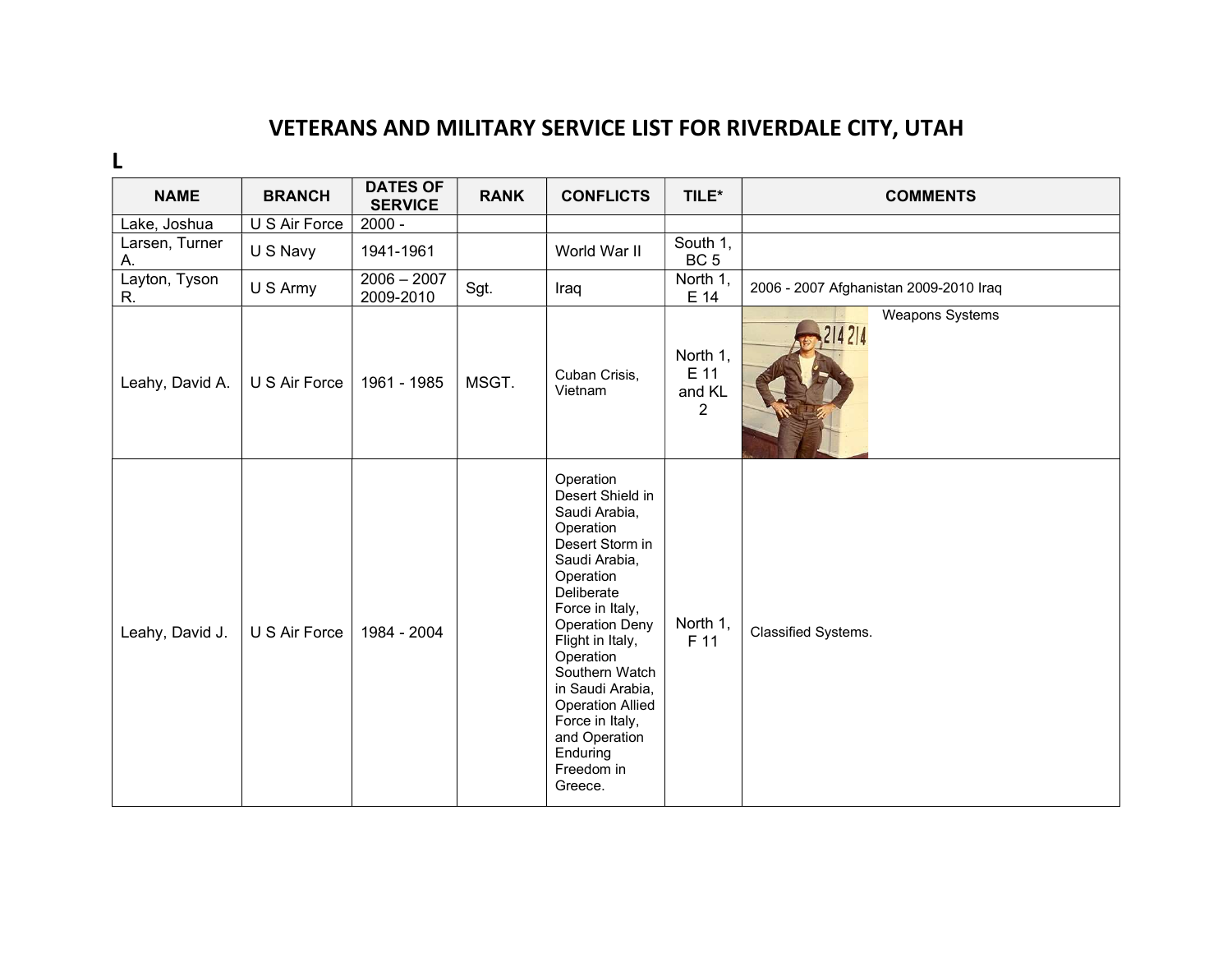## VETERANS AND MILITARY SERVICE LIST FOR RIVERDALE CITY, UTAH

L

| <b>NAME</b>          | <b>BRANCH</b> | <b>DATES OF</b><br><b>SERVICE</b> | <b>RANK</b> | <b>CONFLICTS</b>                                                                                                                                                                                                                                                                                                                                  | TILE*                                        | <b>COMMENTS</b>                        |
|----------------------|---------------|-----------------------------------|-------------|---------------------------------------------------------------------------------------------------------------------------------------------------------------------------------------------------------------------------------------------------------------------------------------------------------------------------------------------------|----------------------------------------------|----------------------------------------|
| Lake, Joshua         | U S Air Force | $2000 -$                          |             |                                                                                                                                                                                                                                                                                                                                                   |                                              |                                        |
| Larsen, Turner<br>А. | U S Navy      | 1941-1961                         |             | World War II                                                                                                                                                                                                                                                                                                                                      | South 1,<br>BC <sub>5</sub>                  |                                        |
| Layton, Tyson<br>R.  | U S Army      | $2006 - 2007$<br>2009-2010        | Sgt.        | Iraq                                                                                                                                                                                                                                                                                                                                              | North 1,<br>E 14                             | 2006 - 2007 Afghanistan 2009-2010 Iraq |
| Leahy, David A.      | U S Air Force | 1961 - 1985                       | MSGT.       | Cuban Crisis,<br>Vietnam                                                                                                                                                                                                                                                                                                                          | North 1,<br>E 11<br>and KL<br>$\overline{2}$ | <b>Weapons Systems</b><br>214214       |
| Leahy, David J.      | U S Air Force | 1984 - 2004                       |             | Operation<br>Desert Shield in<br>Saudi Arabia,<br>Operation<br>Desert Storm in<br>Saudi Arabia,<br>Operation<br>Deliberate<br>Force in Italy,<br><b>Operation Deny</b><br>Flight in Italy,<br>Operation<br>Southern Watch<br>in Saudi Arabia,<br><b>Operation Allied</b><br>Force in Italy,<br>and Operation<br>Enduring<br>Freedom in<br>Greece. | North 1,<br>F 11                             | Classified Systems.                    |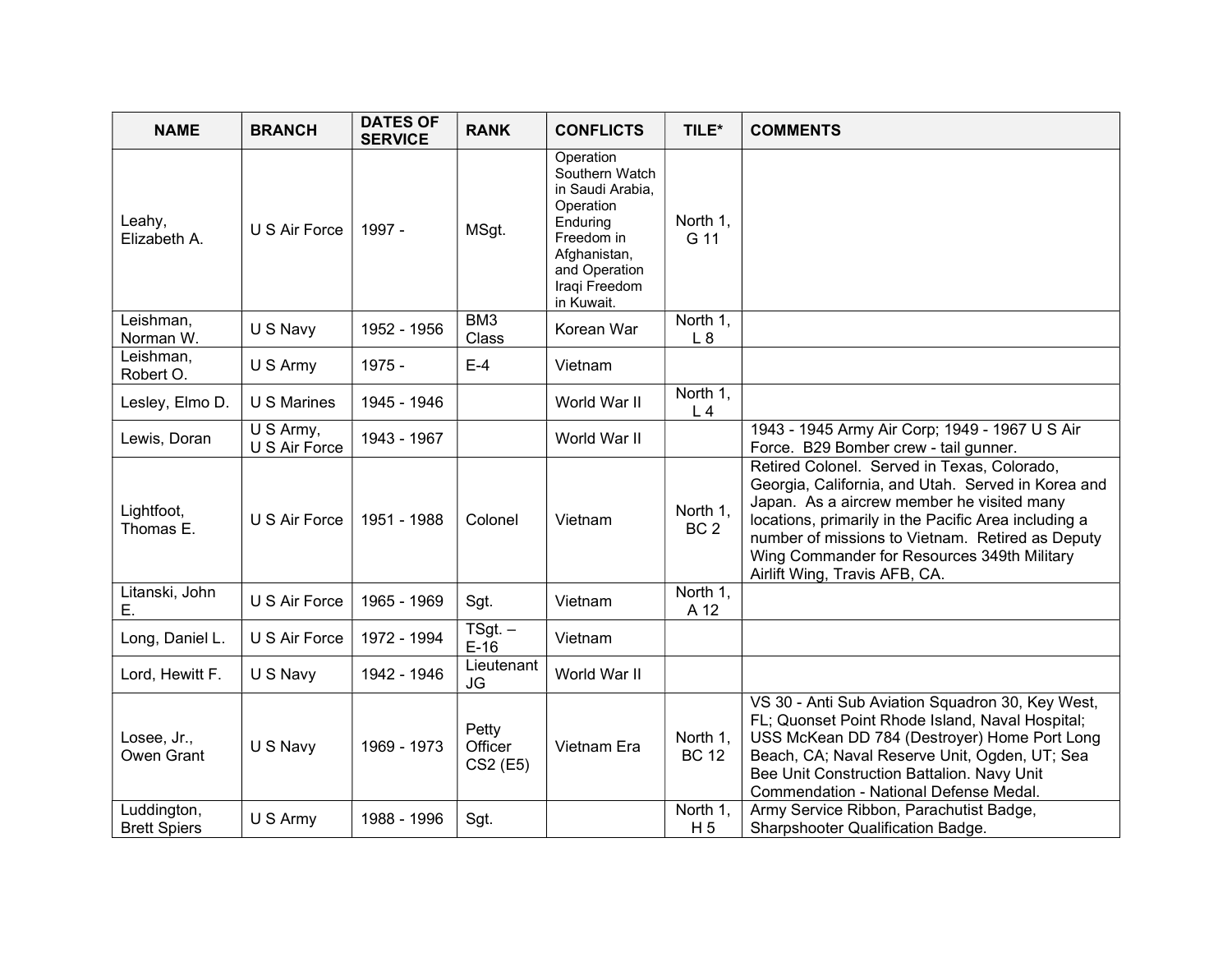| <b>NAME</b>                        | <b>BRANCH</b>                           | <b>DATES OF</b><br><b>SERVICE</b> | <b>RANK</b>                  | <b>CONFLICTS</b>                                                                                                                                       | TILE*                       | <b>COMMENTS</b>                                                                                                                                                                                                                                                                                                                             |
|------------------------------------|-----------------------------------------|-----------------------------------|------------------------------|--------------------------------------------------------------------------------------------------------------------------------------------------------|-----------------------------|---------------------------------------------------------------------------------------------------------------------------------------------------------------------------------------------------------------------------------------------------------------------------------------------------------------------------------------------|
| Leahy,<br>Elizabeth A.             | U S Air Force                           | 1997 -                            | MSgt.                        | Operation<br>Southern Watch<br>in Saudi Arabia,<br>Operation<br>Enduring<br>Freedom in<br>Afghanistan,<br>and Operation<br>Iraqi Freedom<br>in Kuwait. | North 1,<br>G 11            |                                                                                                                                                                                                                                                                                                                                             |
| Leishman,<br>Norman W.             | U S Navy                                | 1952 - 1956                       | BM3<br>Class                 | Korean War                                                                                                                                             | North 1,<br>L8              |                                                                                                                                                                                                                                                                                                                                             |
| Leishman,<br>Robert O.             | U S Army                                | 1975 -                            | $E-4$                        | Vietnam                                                                                                                                                |                             |                                                                                                                                                                                                                                                                                                                                             |
| Lesley, Elmo D.                    | U S Marines                             | 1945 - 1946                       |                              | World War II                                                                                                                                           | North 1,<br>L <sub>4</sub>  |                                                                                                                                                                                                                                                                                                                                             |
| Lewis, Doran                       | $\overline{U}$ S Army,<br>U S Air Force | 1943 - 1967                       |                              | World War II                                                                                                                                           |                             | 1943 - 1945 Army Air Corp; 1949 - 1967 U S Air<br>Force. B29 Bomber crew - tail gunner.                                                                                                                                                                                                                                                     |
| Lightfoot,<br>Thomas E.            | U S Air Force                           | 1951 - 1988                       | Colonel                      | Vietnam                                                                                                                                                | North 1,<br>BC <sub>2</sub> | Retired Colonel. Served in Texas, Colorado,<br>Georgia, California, and Utah. Served in Korea and<br>Japan. As a aircrew member he visited many<br>locations, primarily in the Pacific Area including a<br>number of missions to Vietnam. Retired as Deputy<br>Wing Commander for Resources 349th Military<br>Airlift Wing, Travis AFB, CA. |
| Litanski, John<br>Е.               | U S Air Force                           | 1965 - 1969                       | Sgt.                         | Vietnam                                                                                                                                                | North 1,<br>A 12            |                                                                                                                                                                                                                                                                                                                                             |
| Long, Daniel L.                    | U S Air Force                           | 1972 - 1994                       | $TSgt -$<br>$E-16$           | Vietnam                                                                                                                                                |                             |                                                                                                                                                                                                                                                                                                                                             |
| Lord, Hewitt F.                    | U S Navy                                | 1942 - 1946                       | Lieutenant<br>JG             | World War II                                                                                                                                           |                             |                                                                                                                                                                                                                                                                                                                                             |
| Losee, Jr.,<br>Owen Grant          | U S Navy                                | 1969 - 1973                       | Petty<br>Officer<br>CS2 (E5) | Vietnam Era                                                                                                                                            | North 1,<br><b>BC 12</b>    | VS 30 - Anti Sub Aviation Squadron 30, Key West,<br>FL; Quonset Point Rhode Island, Naval Hospital;<br>USS McKean DD 784 (Destroyer) Home Port Long<br>Beach, CA; Naval Reserve Unit, Ogden, UT; Sea<br>Bee Unit Construction Battalion. Navy Unit<br>Commendation - National Defense Medal.                                                |
| Luddington,<br><b>Brett Spiers</b> | U S Army                                | 1988 - 1996                       | Sgt.                         |                                                                                                                                                        | North 1,<br>H <sub>5</sub>  | Army Service Ribbon, Parachutist Badge,<br>Sharpshooter Qualification Badge.                                                                                                                                                                                                                                                                |